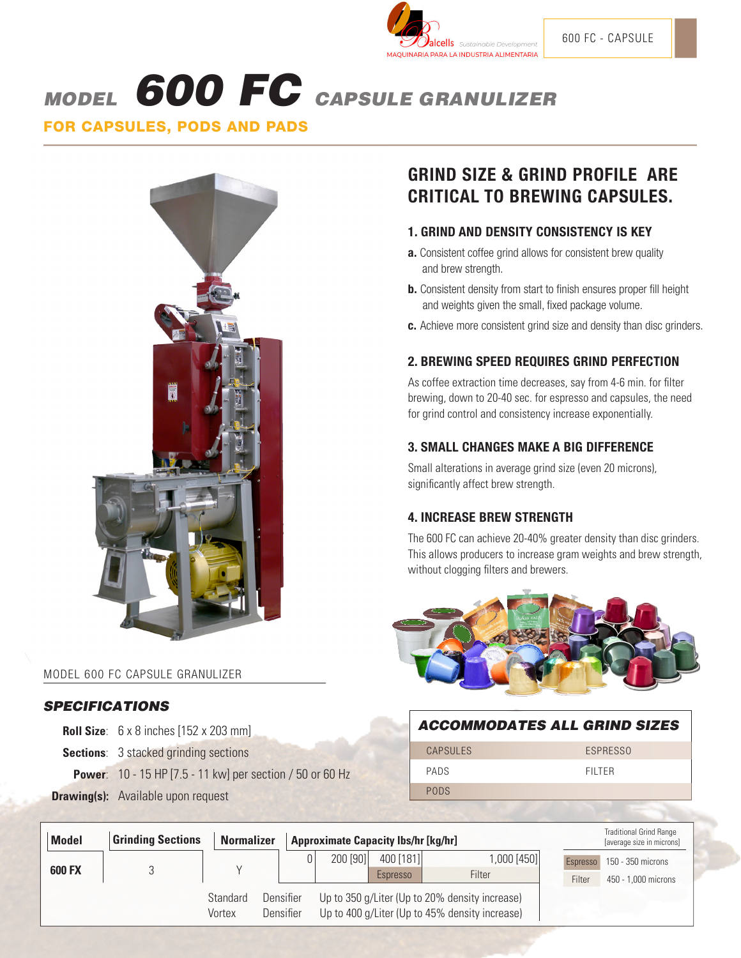

# MODEL 600 FC CAPSULE GRANULIZER

FOR CAPSULES, PODS AND PADS



#### MODEL 600 FC CAPSULE GRANULIZER

#### **SPECIFICATIONS**

**Roll Size**: 6 x 8 inches [152 x 203 mm]

**Sections:** 3 stacked grinding sections

**Power**: 10 - 15 HP [7.5 - 11 kw] per section / 50 or 60 Hz

**Drawing(s):** Available upon request

# **GRIND SIZE & GRIND PROFILE ARE CRITICAL TO BREWING CAPSULES.**

#### **1. GRIND AND DENSITY CONSISTENCY IS KEY**

- **a.** Consistent coffee grind allows for consistent brew quality and brew strength.
- **b.** Consistent density from start to finish ensures proper fill height and weights given the small, fixed package volume.
- **c.** Achieve more consistent grind size and density than disc grinders.

# **2. BREWING SPEED REQUIRES GRIND PERFECTION**

As coffee extraction time decreases, say from 4-6 min. for filter brewing, down to 20-40 sec. for espresso and capsules, the need for grind control and consistency increase exponentially.

#### **3. SMALL CHANGES MAKE A BIG DIFFERENCE**

Small alterations in average grind size (even 20 microns), significantly affect brew strength.

# **4. INCREASE BREW STRENGTH**

The 600 FC can achieve 20-40% greater density than disc grinders. This allows producers to increase gram weights and brew strength, without clogging filters and brewers.



#### ACCOMMODATES ALL GRIND SIZES

PODS CAPSULES ESPRESSO

PADS FILTER FILTER

| <b>Model</b>  | <b>Grinding Sections</b>                                                                                                                         | <b>Normalizer</b> | <b>Approximate Capacity lbs/hr [kg/hr]</b> |          |                       |                       | <b>Traditional Grind Range</b><br>[average size in microns] |                                          |  |
|---------------|--------------------------------------------------------------------------------------------------------------------------------------------------|-------------------|--------------------------------------------|----------|-----------------------|-----------------------|-------------------------------------------------------------|------------------------------------------|--|
| <b>600 FX</b> |                                                                                                                                                  |                   | 0                                          | 200 [90] | 400 [181]<br>Espresso | 1,000 [450]<br>Filter | Espresso<br>Filter                                          | 150 - 350 microns<br>450 - 1,000 microns |  |
|               | Up to 350 g/Liter (Up to 20% density increase)<br>Standard<br>Densifier<br>Up to 400 g/Liter (Up to 45% density increase)<br>Densifier<br>Vortex |                   |                                            |          |                       |                       |                                                             |                                          |  |